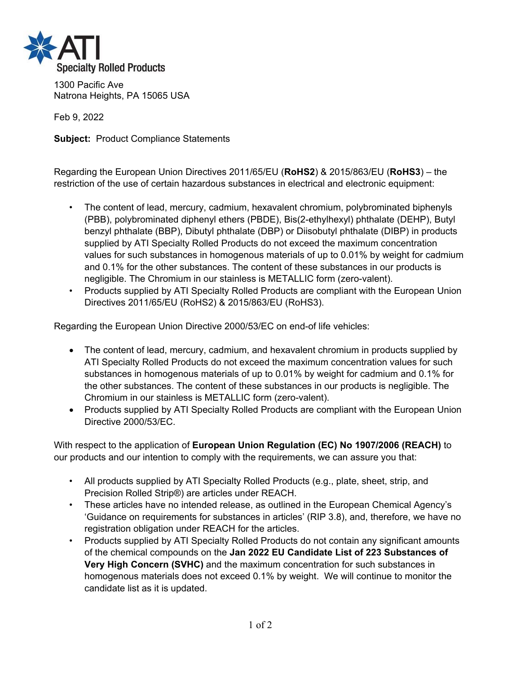

1300 Pacific Ave Natrona Heights, PA 15065 USA

Feb 9, 2022

**Subject:** Product Compliance Statements

Regarding the European Union Directives 2011/65/EU (**RoHS2**) & 2015/863/EU (**RoHS3**) – the restriction of the use of certain hazardous substances in electrical and electronic equipment:

- The content of lead, mercury, cadmium, hexavalent chromium, polybrominated biphenyls (PBB), polybrominated diphenyl ethers (PBDE), Bis(2-ethylhexyl) phthalate (DEHP), Butyl benzyl phthalate (BBP), Dibutyl phthalate (DBP) or Diisobutyl phthalate (DIBP) in products supplied by ATI Specialty Rolled Products do not exceed the maximum concentration values for such substances in homogenous materials of up to 0.01% by weight for cadmium and 0.1% for the other substances. The content of these substances in our products is negligible. The Chromium in our stainless is METALLIC form (zero-valent).
- Products supplied by ATI Specialty Rolled Products are compliant with the European Union Directives 2011/65/EU (RoHS2) & 2015/863/EU (RoHS3).

Regarding the European Union Directive 2000/53/EC on end-of life vehicles:

- The content of lead, mercury, cadmium, and hexavalent chromium in products supplied by ATI Specialty Rolled Products do not exceed the maximum concentration values for such substances in homogenous materials of up to 0.01% by weight for cadmium and 0.1% for the other substances. The content of these substances in our products is negligible. The Chromium in our stainless is METALLIC form (zero-valent).
- Products supplied by ATI Specialty Rolled Products are compliant with the European Union Directive 2000/53/EC.

With respect to the application of **European Union Regulation (EC) No 1907/2006 (REACH)** to our products and our intention to comply with the requirements, we can assure you that:

- All products supplied by ATI Specialty Rolled Products (e.g., plate, sheet, strip, and Precision Rolled Strip®) are articles under REACH.
- These articles have no intended release, as outlined in the European Chemical Agency's 'Guidance on requirements for substances in articles' (RIP 3.8), and, therefore, we have no registration obligation under REACH for the articles.
- Products supplied by ATI Specialty Rolled Products do not contain any significant amounts of the chemical compounds on the **Jan 2022 EU Candidate List of 223 Substances of Very High Concern (SVHC)** and the maximum concentration for such substances in homogenous materials does not exceed 0.1% by weight. We will continue to monitor the candidate list as it is updated.